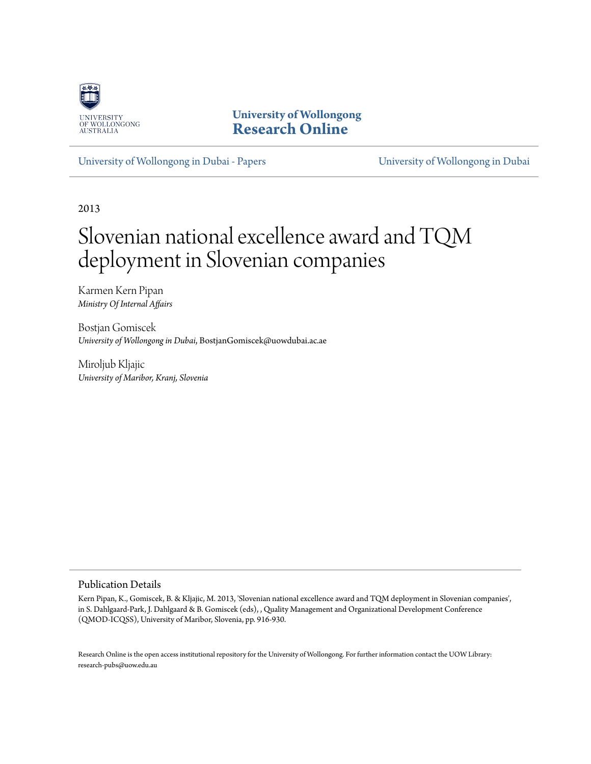

**University of Wollongong [Research Online](http://ro.uow.edu.au)**

[University of Wollongong in Dubai - Papers](http://ro.uow.edu.au/dubaipapers) [University of Wollongong in Dubai](http://ro.uow.edu.au/dubai)

2013

# Slovenian national excellence award and TQM deployment in Slovenian companies

Karmen Kern Pipan *Ministry Of Internal Affairs*

Bostjan Gomiscek *University of Wollongong in Dubai*, BostjanGomiscek@uowdubai.ac.ae

Miroljub Kljajic *University of Maribor, Kranj, Slovenia*

Publication Details

Kern Pipan, K., Gomiscek, B. & Kljajic, M. 2013, 'Slovenian national excellence award and TQM deployment in Slovenian companies', in S. Dahlgaard-Park, J. Dahlgaard & B. Gomiscek (eds), , Quality Management and Organizational Development Conference (QMOD-ICQSS), University of Maribor, Slovenia, pp. 916-930.

Research Online is the open access institutional repository for the University of Wollongong. For further information contact the UOW Library: research-pubs@uow.edu.au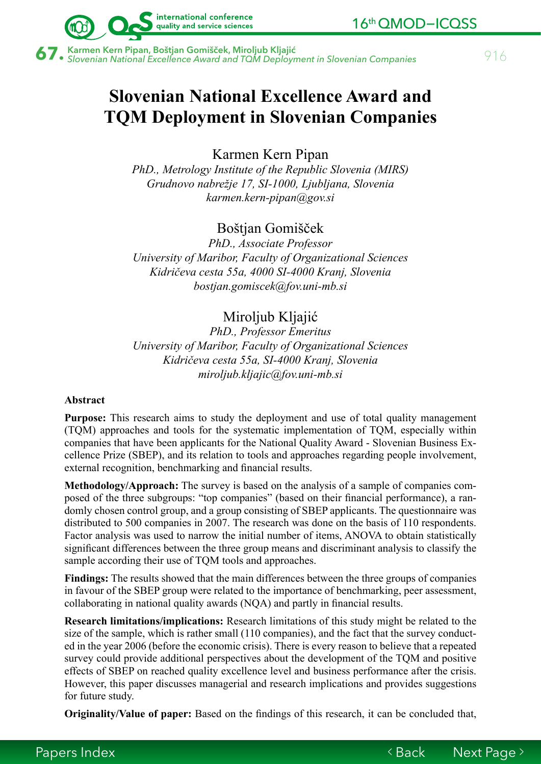

 $\bf 67.$  Karmen Kern Pipan, Boštjan Gomišček, Miroljub Kljajić<br>Saman Karmen Kational Excellence Award and TQM Deployment in Slovenian Companies **Saman Accellence Award and TQM** 

international conference quality and service sciences

# **Slovenian National Excellence Award and TQM Deployment in Slovenian Companies**

Karmen Kern Pipan

*PhD., Metrology Institute of the Republic Slovenia (MIRS) Grudnovo nabrežje 17, SI-1000, Ljubljana, Slovenia k[armen.kern-pipan@gov.si](mailto:karmen.kern-pipan@gov.si)* 

Boštjan Gomišček

*PhD., Associate Professor University of Maribor, Faculty of Organizational Sciences Kidričeva cesta 55a, 4000 SI-4000 Kranj, Slovenia [bostjan.gomiscek@fov.uni-mb.si](mailto:bostjan.gomiscek@fov.uni-mb.si)*

# Miroljub Kljajić

*PhD., Professor Emeritus University of Maribor, Faculty of Organizational Sciences Kidričeva cesta 55a, SI-4000 Kranj, Slovenia [miroljub.kljajic@fov.uni-mb.si](mailto:miroljub.kljajic@fov.uni-mb.si)* 

#### **Abstract**

**Purpose:** This research aims to study the deployment and use of total quality management (TQM) approaches and tools for the systematic implementation of TQM, especially within companies that have been applicants for the National Quality Award - Slovenian Business Excellence Prize (SBEP), and its relation to tools and approaches regarding people involvement, external recognition, benchmarking and financial results.

**Methodology/Approach:** The survey is based on the analysis of a sample of companies composed of the three subgroups: "top companies" (based on their financial performance), a randomly chosen control group, and a group consisting of SBEP applicants. The questionnaire was distributed to 500 companies in 2007. The research was done on the basis of 110 respondents. Factor analysis was used to narrow the initial number of items, ANOVA to obtain statistically significant differences between the three group means and discriminant analysis to classify the sample according their use of TQM tools and approaches.

**Findings:** The results showed that the main differences between the three groups of companies in favour of the SBEP group were related to the importance of benchmarking, peer assessment, collaborating in national quality awards (NQA) and partly in financial results.

**Research limitations/implications:** Research limitations of this study might be related to the size of the sample, which is rather small (110 companies), and the fact that the survey conducted in the year 2006 (before the economic crisis). There is every reason to believe that a repeated survey could provide additional perspectives about the development of the TQM and positive effects of SBEP on reached quality excellence level and business performance after the crisis. However, this paper discusses managerial and research implications and provides suggestions for future study.

**Originality/Value of paper:** Based on the findings of this research, it can be concluded that,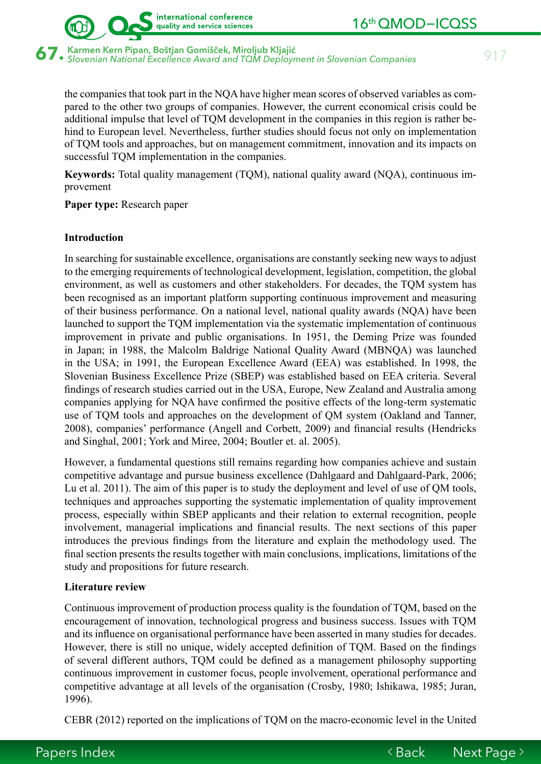

**67.** Karmen Kern Pipan, Boštjan Gomišček, Miroljub Kljajić<br>67. slovenian National Excellence Award and TQM Deployment in Slovenian Companies *917* 

international conference quality and service sciences

the companies that took part in the NQA have higher mean scores of observed variables as compared to the other two groups of companies. However, the current economical crisis could be additional impulse that level of TQM development in the companies in this region is rather behind to European level. Nevertheless, further studies should focus not only on implementation of TQM tools and approaches, but on management commitment, innovation and its impacts on successful TQM implementation in the companies.

**Keywords:** Total quality management (TQM), national quality award (NQA), continuous improvement

**Paper type:** Research paper

#### **Introduction**

In searching for sustainable excellence, organisations are constantly seeking new ways to adjust to the emerging requirements of technological development, legislation, competition, the global environment, as well as customers and other stakeholders. For decades, the TQM system has been recognised as an important platform supporting continuous improvement and measuring of their business performance. On a national level, national quality awards (NQA) have been launched to support the TQM implementation via the systematic implementation of continuous improvement in private and public organisations. In 1951, the Deming Prize was founded in Japan; in 1988, the Malcolm Baldrige National Quality Award (MBNQA) was launched in the USA; in 1991, the European Excellence Award (EEA) was established. In 1998, the Slovenian Business Excellence Prize (SBEP) was established based on EEA criteria. Several findings of research studies carried out in the USA, Europe, New Zealand and Australia among companies applying for NQA have confirmed the positive effects of the long-term systematic use of TQM tools and approaches on the development of QM system (Oakland and Tanner, 2008), companies' performance (Angell and Corbett, 2009) and financial results (Hendricks and Singhal, 2001; York and Miree, 2004; Boutler et. al. 2005).

However, a fundamental questions still remains regarding how companies achieve and sustain competitive advantage and pursue business excellence (Dahlgaard and Dahlgaard-Park, 2006; Lu et al. 2011). The aim of this paper is to study the deployment and level of use of QM tools, techniques and approaches supporting the systematic implementation of quality improvement process, especially within SBEP applicants and their relation to external recognition, people involvement, managerial implications and financial results. The next sections of this paper introduces the previous findings from the literature and explain the methodology used. The final section presents the results together with main conclusions, implications, limitations of the study and propositions for future research.

#### **Literature review**

Continuous improvement of production process quality is the foundation of TQM, based on the encouragement of innovation, technological progress and business success. Issues with TQM and its influence on organisational performance have been asserted in many studies for decades. However, there is still no unique, widely accepted definition of TQM. Based on the findings of several different authors, TQM could be defined as a management philosophy supporting continuous improvement in customer focus, people involvement, operational performance and competitive advantage at all levels of the organisation (Crosby, 1980; Ishikawa, 1985; Juran, 1996).

CEBR (2012) reported on the implications of TQM on the macro-economic level in the United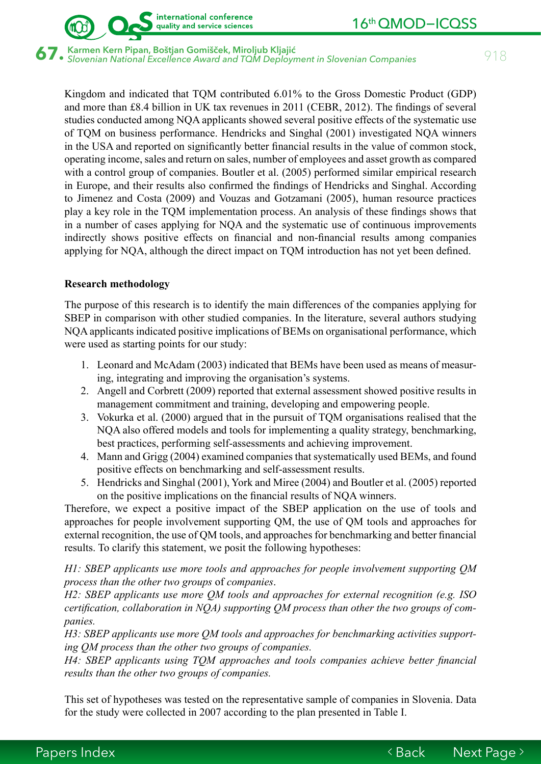

 $\bf 67.$  Karmen Kern Pipan, Boštjan Gomišček, Miroljub Kljajić<br>Saman Karmen National Excellence Award and TQM Deployment in Slovenian Companies (Supermanners)

international conference quality and service sciences

Kingdom and indicated that TQM contributed 6.01% to the Gross Domestic Product (GDP) and more than £8.4 billion in UK tax revenues in 2011 (CEBR, 2012). The findings of several studies conducted among NQA applicants showed several positive effects of the systematic use of TQM on business performance. Hendricks and Singhal (2001) investigated NQA winners in the USA and reported on significantly better financial results in the value of common stock, operating income, sales and return on sales, number of employees and asset growth as compared with a control group of companies. Boutler et al. (2005) performed similar empirical research in Europe, and their results also confirmed the findings of Hendricks and Singhal. According to Jimenez and Costa (2009) and Vouzas and Gotzamani (2005), human resource practices play a key role in the TQM implementation process. An analysis of these findings shows that in a number of cases applying for NQA and the systematic use of continuous improvements indirectly shows positive effects on financial and non-financial results among companies applying for NQA, although the direct impact on TQM introduction has not yet been defined.

### **Research methodology**

The purpose of this research is to identify the main differences of the companies applying for SBEP in comparison with other studied companies. In the literature, several authors studying NQA applicants indicated positive implications of BEMs on organisational performance, which were used as starting points for our study:

- 1. Leonard and McAdam (2003) indicated that BEMs have been used as means of measuring, integrating and improving the organisation's systems.
- 2. Angell and Corbrett (2009) reported that external assessment showed positive results in management commitment and training, developing and empowering people.
- 3. Vokurka et al. (2000) argued that in the pursuit of TQM organisations realised that the NQA also offered models and tools for implementing a quality strategy, benchmarking, best practices, performing self-assessments and achieving improvement.
- 4. Mann and Grigg (2004) examined companies that systematically used BEMs, and found positive effects on benchmarking and self-assessment results.
- 5. Hendricks and Singhal (2001), York and Miree (2004) and Boutler et al. (2005) reported on the positive implications on the financial results of NQA winners.

Therefore, we expect a positive impact of the SBEP application on the use of tools and approaches for people involvement supporting QM, the use of QM tools and approaches for external recognition, the use of QM tools, and approaches for benchmarking and better financial results. To clarify this statement, we posit the following hypotheses:

*H1: SBEP applicants use more tools and approaches for people involvement supporting QM process than the other two groups* of *companies*.

*H2: SBEP applicants use more QM tools and approaches for external recognition (e.g. ISO certification, collaboration in NQA) supporting QM process than other the two groups of companies.*

*H3: SBEP applicants use more QM tools and approaches for benchmarking activities supporting QM process than the other two groups of companies.* 

*H4: SBEP applicants using TQM approaches and tools companies achieve better financial results than the other two groups of companies.* 

This set of hypotheses was tested on the representative sample of companies in Slovenia. Data for the study were collected in 2007 according to the plan presented in Table I.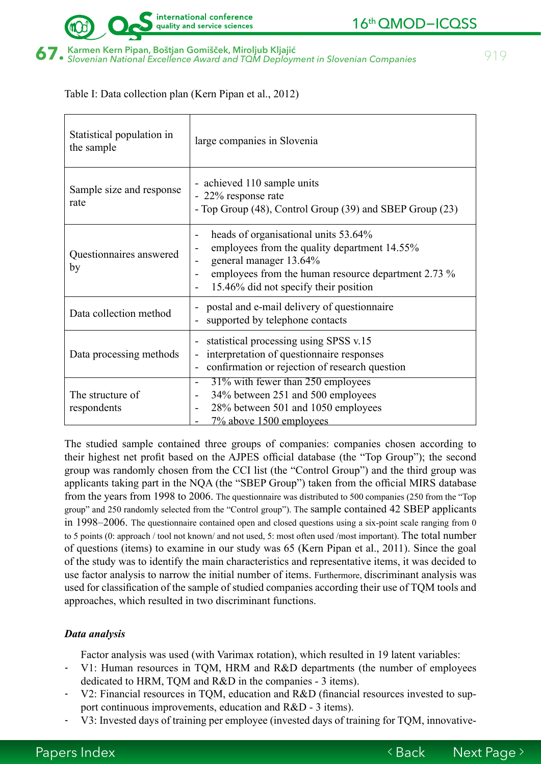

Table I: Data collection plan (Kern Pipan et al., 2012)

| Statistical population in<br>the sample | large companies in Slovenia                                                                                                                                                                                                                                            |  |  |
|-----------------------------------------|------------------------------------------------------------------------------------------------------------------------------------------------------------------------------------------------------------------------------------------------------------------------|--|--|
| Sample size and response<br>rate        | - achieved 110 sample units<br>- 22% response rate<br>- Top Group (48), Control Group (39) and SBEP Group (23)                                                                                                                                                         |  |  |
| Questionnaires answered<br>by           | heads of organisational units 53.64%<br>$\overline{\phantom{a}}$<br>employees from the quality department 14.55%<br>$\overline{\phantom{a}}$<br>general manager 13.64%<br>employees from the human resource department 2.73 %<br>15.46% did not specify their position |  |  |
| Data collection method                  | postal and e-mail delivery of questionnaire<br>supported by telephone contacts                                                                                                                                                                                         |  |  |
| Data processing methods                 | statistical processing using SPSS v.15<br>interpretation of questionnaire responses<br>confirmation or rejection of research question                                                                                                                                  |  |  |
| The structure of<br>respondents         | 31% with fewer than 250 employees<br>34% between 251 and 500 employees<br>28% between 501 and 1050 employees<br>7% above 1500 employees                                                                                                                                |  |  |

The studied sample contained three groups of companies: companies chosen according to their highest net profit based on the AJPES official database (the "Top Group"); the second group was randomly chosen from the CCI list (the "Control Group") and the third group was applicants taking part in the NQA (the "SBEP Group") taken from the official MIRS database from the years from 1998 to 2006. The questionnaire was distributed to 500 companies (250 from the "Top group" and 250 randomly selected from the "Control group"). The sample contained 42 SBEP applicants in 1998–2006. The questionnaire contained open and closed questions using a six-point scale ranging from 0 to 5 points (0: approach / tool not known/ and not used, 5: most often used /most important). The total number of questions (items) to examine in our study was 65 (Kern Pipan et al., 2011). Since the goal of the study was to identify the main characteristics and representative items, it was decided to use factor analysis to narrow the initial number of items. Furthermore, discriminant analysis was used for classification of the sample of studied companies according their use of TQM tools and approaches, which resulted in two discriminant functions.

# *Data analysis*

Factor analysis was used (with Varimax rotation), which resulted in 19 latent variables:

- V1: Human resources in TQM, HRM and R&D departments (the number of employees dedicated to HRM, TQM and R&D in the companies - 3 items).
- V2: Financial resources in TQM, education and R&D (financial resources invested to support continuous improvements, education and R&D - 3 items).
- V3: Invested days of training per employee (invested days of training for TQM, innovative-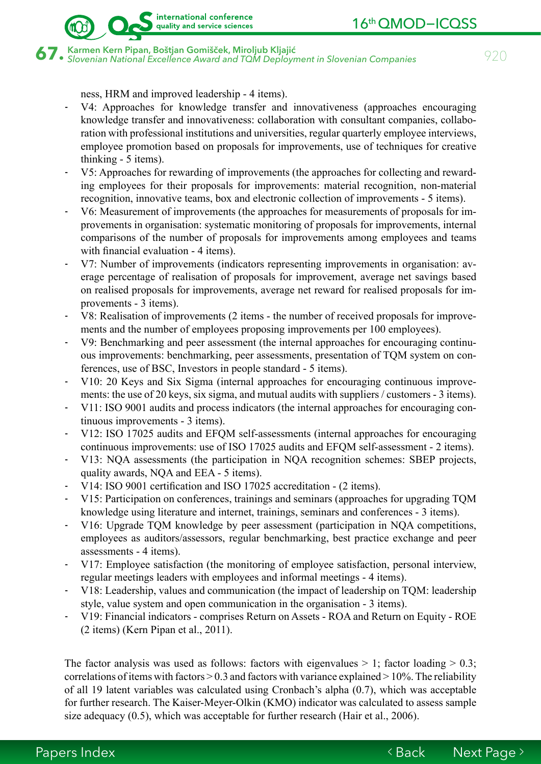$\bf 67.$  Karmen Kern Pipan, Boštjan Gomišček, Miroljub Kljajić<br>Saman Karmen National Excellence Award and TQM Deployment in Slovenian Companies (Gaman Schopenian Mational Excellence Award and TQM Deployment in Slovenian Co

ness, HRM and improved leadership - 4 items).

- V4: Approaches for knowledge transfer and innovativeness (approaches encouraging knowledge transfer and innovativeness: collaboration with consultant companies, collaboration with professional institutions and universities, regular quarterly employee interviews, employee promotion based on proposals for improvements, use of techniques for creative thinking - 5 items).
- V5: Approaches for rewarding of improvements (the approaches for collecting and rewarding employees for their proposals for improvements: material recognition, non-material recognition, innovative teams, box and electronic collection of improvements - 5 items).
- V6: Measurement of improvements (the approaches for measurements of proposals for improvements in organisation: systematic monitoring of proposals for improvements, internal comparisons of the number of proposals for improvements among employees and teams with financial evaluation - 4 items).
- V7: Number of improvements (indicators representing improvements in organisation: average percentage of realisation of proposals for improvement, average net savings based on realised proposals for improvements, average net reward for realised proposals for improvements - 3 items).
- V8: Realisation of improvements (2 items the number of received proposals for improvements and the number of employees proposing improvements per 100 employees).
- V9: Benchmarking and peer assessment (the internal approaches for encouraging continuous improvements: benchmarking, peer assessments, presentation of TQM system on conferences, use of BSC, Investors in people standard - 5 items).
- V10: 20 Keys and Six Sigma (internal approaches for encouraging continuous improvements: the use of 20 keys, six sigma, and mutual audits with suppliers / customers - 3 items).
- V11: ISO 9001 audits and process indicators (the internal approaches for encouraging continuous improvements - 3 items).
- V12: ISO 17025 audits and EFQM self-assessments (internal approaches for encouraging continuous improvements: use of ISO 17025 audits and EFQM self-assessment - 2 items).
- V13: NQA assessments (the participation in NQA recognition schemes: SBEP projects, quality awards, NQA and EEA - 5 items).
- V14: ISO 9001 certification and ISO 17025 accreditation (2 items).
- V15: Participation on conferences, trainings and seminars (approaches for upgrading TQM knowledge using literature and internet, trainings, seminars and conferences - 3 items).
- V16: Upgrade TQM knowledge by peer assessment (participation in NQA competitions, employees as auditors/assessors, regular benchmarking, best practice exchange and peer assessments - 4 items).
- V17: Employee satisfaction (the monitoring of employee satisfaction, personal interview, regular meetings leaders with employees and informal meetings - 4 items).
- V18: Leadership, values and communication (the impact of leadership on TQM: leadership style, value system and open communication in the organisation - 3 items).
- V19: Financial indicators comprises Return on Assets ROA and Return on Equity ROE (2 items) (Kern Pipan et al., 2011).

The factor analysis was used as follows: factors with eigenvalues  $> 1$ ; factor loading  $> 0.3$ ; correlations of items with factors  $> 0.3$  and factors with variance explained  $> 10\%$ . The reliability of all 19 latent variables was calculated using Cronbach's alpha (0.7), which was acceptable for further research. The Kaiser-Meyer-Olkin (KMO) indicator was calculated to assess sample size adequacy (0.5), which was acceptable for further research (Hair et al., 2006).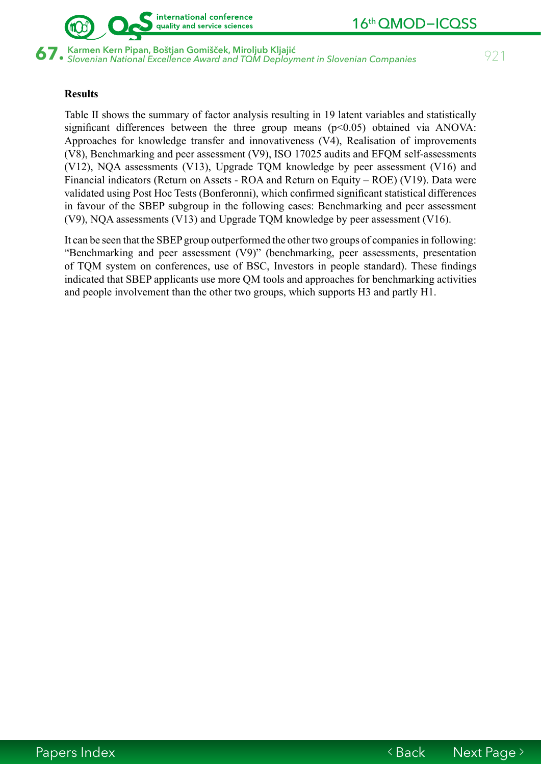

67. Karmen Kern Pipan, Boštjan Gomišček, Miroljub Kljajić<br>67. slovenian National Excellence Award and TQM Deployment in Slovenian Companies *921* 

## **Results**

Table II shows the summary of factor analysis resulting in 19 latent variables and statistically significant differences between the three group means  $(p<0.05)$  obtained via ANOVA: Approaches for knowledge transfer and innovativeness (V4), Realisation of improvements (V8), Benchmarking and peer assessment (V9), ISO 17025 audits and EFQM self-assessments (V12), NQA assessments (V13), Upgrade TQM knowledge by peer assessment (V16) and Financial indicators (Return on Assets - ROA and Return on Equity – ROE) (V19). Data were validated using Post Hoc Tests (Bonferonni), which confirmed significant statistical differences in favour of the SBEP subgroup in the following cases: Benchmarking and peer assessment (V9), NQA assessments (V13) and Upgrade TQM knowledge by peer assessment (V16).

It can be seen that the SBEP group outperformed the other two groups of companies in following: "Benchmarking and peer assessment (V9)" (benchmarking, peer assessments, presentation of TQM system on conferences, use of BSC, Investors in people standard). These findings indicated that SBEP applicants use more QM tools and approaches for benchmarking activities and people involvement than the other two groups, which supports H3 and partly H1.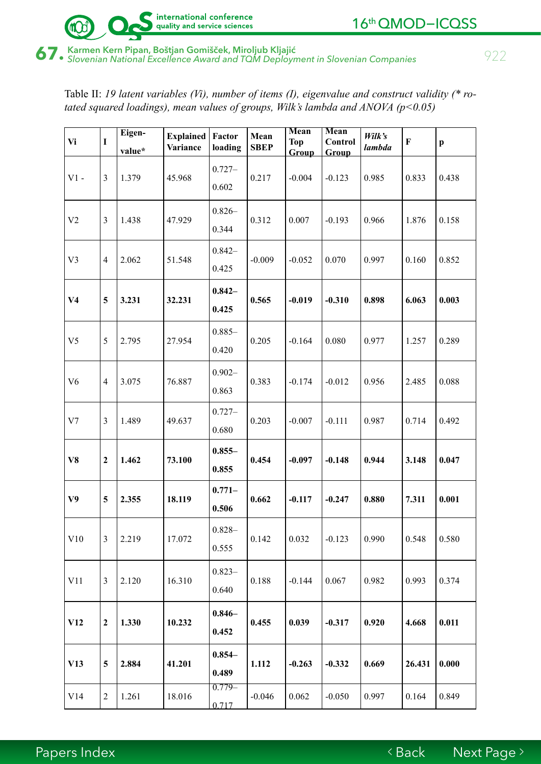

# 67. Karmen Kern Pipan, Boštjan Gomišček, Miroljub Kljajić<br>67. slovenian National Excellence Award and TQM Deployment in Slovenian Companies *922*

Table II: *19 latent variables (Vi), number of items (I), eigenvalue and construct validity (\* rotated squared loadings), mean values of groups, Wilk's lambda and ANOVA (p<0.05)*

| Vi             | $\mathbf I$      | Eigen-<br>value* | <b>Explained</b><br>Variance | Factor<br>loading  | Mean<br><b>SBEP</b> | <b>Mean</b><br><b>Top</b><br>Group | Mean<br>Control<br><b>Group</b> | Wilk's<br>lambda | $\bf F$ | $\boldsymbol{\mathrm{p}}$ |
|----------------|------------------|------------------|------------------------------|--------------------|---------------------|------------------------------------|---------------------------------|------------------|---------|---------------------------|
| $V1 -$         | 3                | 1.379            | 45.968                       | $0.727 -$<br>0.602 | 0.217               | $-0.004$                           | $-0.123$                        | 0.985            | 0.833   | 0.438                     |
| V <sub>2</sub> | $\mathfrak{Z}$   | 1.438            | 47.929                       | $0.826 -$<br>0.344 | 0.312               | 0.007                              | $-0.193$                        | 0.966            | 1.876   | 0.158                     |
| V <sub>3</sub> | $\overline{4}$   | 2.062            | 51.548                       | $0.842 -$<br>0.425 | $-0.009$            | $-0.052$                           | 0.070                           | 0.997            | 0.160   | 0.852                     |
| V <sub>4</sub> | 5                | 3.231            | 32.231                       | $0.842 -$<br>0.425 | 0.565               | $-0.019$                           | $-0.310$                        | 0.898            | 6.063   | 0.003                     |
| V <sub>5</sub> | 5                | 2.795            | 27.954                       | $0.885 -$<br>0.420 | 0.205               | $-0.164$                           | 0.080                           | 0.977            | 1.257   | 0.289                     |
| V <sub>6</sub> | $\overline{4}$   | 3.075            | 76.887                       | $0.902 -$<br>0.863 | 0.383               | $-0.174$                           | $-0.012$                        | 0.956            | 2.485   | 0.088                     |
| V7             | 3                | 1.489            | 49.637                       | $0.727 -$<br>0.680 | 0.203               | $-0.007$                           | $-0.111$                        | 0.987            | 0.714   | 0.492                     |
| V8             | $\boldsymbol{2}$ | 1.462            | 73.100                       | $0.855 -$<br>0.855 | 0.454               | $-0.097$                           | $-0.148$                        | 0.944            | 3.148   | 0.047                     |
| V <sub>9</sub> | 5                | 2.355            | 18.119                       | $0.771 -$<br>0.506 | 0.662               | $-0.117$                           | $-0.247$                        | 0.880            | 7.311   | 0.001                     |
| V10            | 3                | 2.219            | 17.072                       | $0.828 -$<br>0.555 | 0.142               | 0.032                              | $-0.123$                        | 0.990            | 0.548   | 0.580                     |
| V11            | 3                | 2.120            | 16.310                       | $0.823 -$<br>0.640 | 0.188               | $-0.144$                           | 0.067                           | 0.982            | 0.993   | 0.374                     |
| V12            | $\boldsymbol{2}$ | 1.330            | 10.232                       | $0.846 -$<br>0.452 | 0.455               | 0.039                              | $-0.317$                        | 0.920            | 4.668   | 0.011                     |
| V13            | 5                | 2.884            | 41.201                       | $0.854 -$<br>0.489 | 1.112               | $-0.263$                           | $-0.332$                        | 0.669            | 26.431  | 0.000                     |
| V14            | $\mathbf{2}$     | 1.261            | 18.016                       | $0.779-$<br>0.717  | $-0.046$            | 0.062                              | $-0.050$                        | 0.997            | 0.164   | 0.849                     |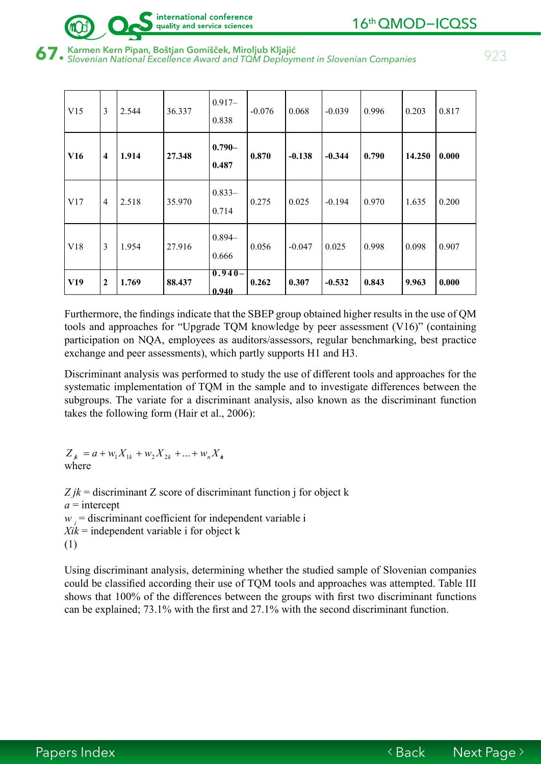

# $\bf 67.$  Karmen Kern Pipan, Boštjan Gomišček, Miroljub Kljajić<br>Saman Karmen National Excellence Award and TQM Deployment in Slovenian Companies (Saman Schopen State)

| V15 | $\overline{3}$          | 2.544 | 36.337 | $0.917 -$<br>0.838 | $-0.076$ | 0.068    | $-0.039$ | 0.996 | 0.203  | 0.817 |
|-----|-------------------------|-------|--------|--------------------|----------|----------|----------|-------|--------|-------|
| V16 | $\overline{\mathbf{4}}$ | 1.914 | 27.348 | $0.790 -$<br>0.487 | 0.870    | $-0.138$ | $-0.344$ | 0.790 | 14.250 | 0.000 |
| V17 | $\overline{4}$          | 2.518 | 35.970 | $0.833-$<br>0.714  | 0.275    | 0.025    | $-0.194$ | 0.970 | 1.635  | 0.200 |
| V18 | $\overline{3}$          | 1.954 | 27.916 | $0.894 -$<br>0.666 | 0.056    | $-0.047$ | 0.025    | 0.998 | 0.098  | 0.907 |
| V19 | $\overline{2}$          | 1.769 | 88.437 | $0.940 -$<br>0.940 | 0.262    | 0.307    | $-0.532$ | 0.843 | 9.963  | 0.000 |

Furthermore, the findings indicate that the SBEP group obtained higher results in the use of QM tools and approaches for "Upgrade TQM knowledge by peer assessment (V16)" (containing participation on NQA, employees as auditors/assessors, regular benchmarking, best practice exchange and peer assessments), which partly supports H1 and H3.

Discriminant analysis was performed to study the use of different tools and approaches for the systematic implementation of TQM in the sample and to investigate differences between the subgroups. The variate for a discriminant analysis, also known as the discriminant function takes the following form (Hair et al., 2006):

 $Z_{jk} = a + w_1 X_{1k} + w_2 X_{2k} + ... + w_n X_k$ where

 $Zjk$  = discriminant Z score of discriminant function *i* for object k  $a =$ intercept  $w_i$  = discriminant coefficient for independent variable i  $Xik$  = independent variable i for object k (1)

Using discriminant analysis, determining whether the studied sample of Slovenian companies could be classified according their use of TQM tools and approaches was attempted. Table III shows that 100% of the differences between the groups with first two discriminant functions can be explained; 73.1% with the first and 27.1% with the second discriminant function.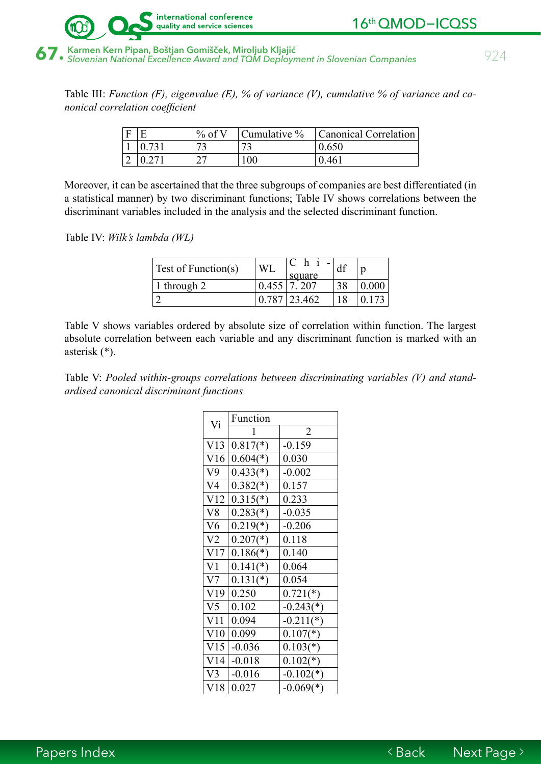

Table III: *Function (F), eigenvalue (E), % of variance (V), cumulative % of variance and canonical correlation coefficient*

| Е | $\%$ of V | Cumulative % | Canonical Correlation |
|---|-----------|--------------|-----------------------|
|   |           |              | 0.650                 |
| ∠ |           | 100          | 0.461                 |

Moreover, it can be ascertained that the three subgroups of companies are best differentiated (in a statistical manner) by two discriminant functions; Table IV shows correlations between the discriminant variables included in the analysis and the selected discriminant function.

Table IV: *Wilk's lambda (WL)*

| <b>Test of Function(s)</b> | <b>WL</b> | square           |    |       |
|----------------------------|-----------|------------------|----|-------|
| 1 through 2                |           | $0.455$ 7.207    | 38 | 0.000 |
|                            |           | $0.787$   23.462 | 18 |       |

Table V shows variables ordered by absolute size of correlation within function. The largest absolute correlation between each variable and any discriminant function is marked with an asterisk (\*).

Table V: *Pooled within-groups correlations between discriminating variables (V) and standardised canonical discriminant functions*

| Vi             | Function   |                |
|----------------|------------|----------------|
|                | 1          | $\overline{2}$ |
| V13            | $0.817(*)$ | $-0.159$       |
| V16            | $0.604(*)$ | 0.030          |
| V9             | $0.433(*)$ | $-0.002$       |
| V4             | $0.382(*)$ | 0.157          |
| V12            | $0.315(*)$ | 0.233          |
| V8             | $0.283(*)$ | $-0.035$       |
| V6             | $0.219(*)$ | $-0.206$       |
| V <sub>2</sub> | $0.207(*)$ | 0.118          |
| V17            | $0.186(*)$ | 0.140          |
| V1             | $0.141(*)$ | 0.064          |
| V7             | $0.131(*)$ | 0.054          |
| V19            | 0.250      | $0.721(*)$     |
| V5             | 0.102      | $-0.243(*)$    |
| V11            | 0.094      | $-0.211(*)$    |
| V10            | 0.099      | $0.107(*)$     |
| V15            | $-0.036$   | $0.103(*)$     |
| V14            | $-0.018$   | $0.102(*)$     |
| V3             | $-0.016$   | $-0.102(*)$    |
| V18            | 0.027      | $-0.069(*)$    |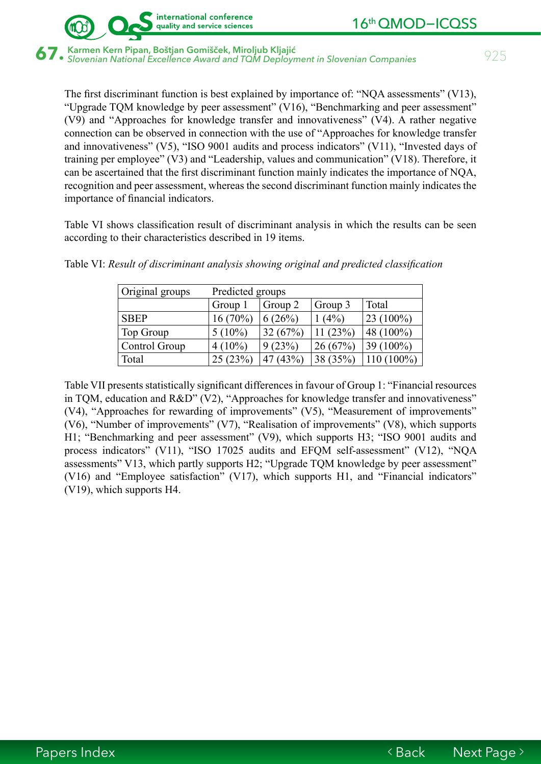

 $\bf 67.$  Karmen Kern Pipan, Boštjan Gomišček, Miroljub Kljajić<br>Saman Karmen National Excellence Award and TQM Deployment in Slovenian Companies (Saman Schopen States)

international conference quality and service sciences

The first discriminant function is best explained by importance of: "NQA assessments" (V13), "Upgrade TQM knowledge by peer assessment" (V16), "Benchmarking and peer assessment" (V9) and "Approaches for knowledge transfer and innovativeness" (V4). A rather negative connection can be observed in connection with the use of "Approaches for knowledge transfer and innovativeness" (V5), "ISO 9001 audits and process indicators" (V11), "Invested days of training per employee" (V3) and "Leadership, values and communication" (V18). Therefore, it can be ascertained that the first discriminant function mainly indicates the importance of NQA, recognition and peer assessment, whereas the second discriminant function mainly indicates the importance of financial indicators.

Table VI shows classification result of discriminant analysis in which the results can be seen according to their characteristics described in 19 items.

| Original groups | Predicted groups |         |          |              |  |  |  |
|-----------------|------------------|---------|----------|--------------|--|--|--|
|                 | Group 1          | Group 2 | Group 3  | Total        |  |  |  |
| <b>SBEP</b>     | $16(70\%)$       | 6(26%)  | $1(4\%)$ | $23(100\%)$  |  |  |  |
| Top Group       | $5(10\%)$        | 32(67%) | 11(23%)  | 48 (100%)    |  |  |  |
| Control Group   | $4(10\%)$        | 9(23%)  | 26(67%)  | 39 $(100\%)$ |  |  |  |
| Total           | 25(23%)          | 47(43%) | 38 (35%) | $110(100\%)$ |  |  |  |

Table VI: *Result of discriminant analysis showing original and predicted classification* 

Table VII presents statistically significant differences in favour of Group 1: "Financial resources in TQM, education and R&D" (V2), "Approaches for knowledge transfer and innovativeness" (V4), "Approaches for rewarding of improvements" (V5), "Measurement of improvements" (V6), "Number of improvements" (V7), "Realisation of improvements" (V8), which supports H1; "Benchmarking and peer assessment" (V9), which supports H3; "ISO 9001 audits and process indicators" (V11), "ISO 17025 audits and EFQM self-assessment" (V12), "NQA assessments" V13, which partly supports H2; "Upgrade TQM knowledge by peer assessment" (V16) and "Employee satisfaction" (V17), which supports H1, and "Financial indicators" (V19), which supports H4.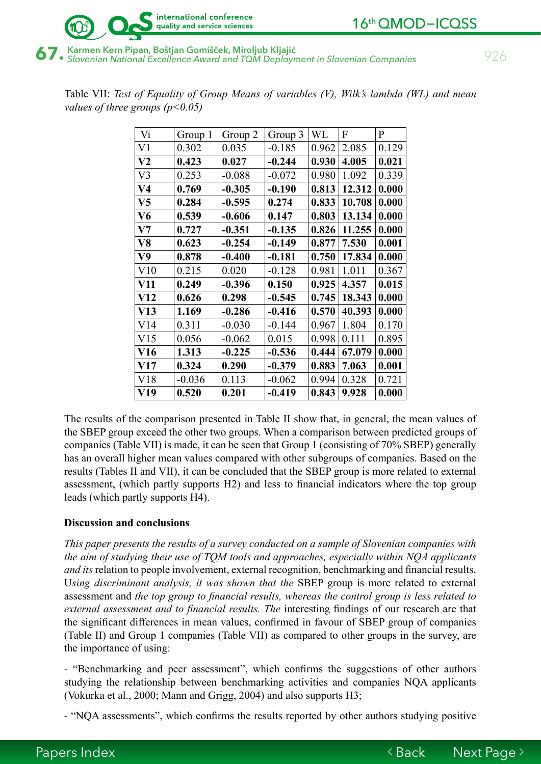

 $\bf 67.$  Karmen Kern Pipan, Boštjan Gomišček, Miroljub Kljajić<br>Saman Karmen II (1990) – Slovenian National Excellence Award and TQM Deployment in Slovenian Companies

| Vi              | Group 1  | Group 2  | Group 3  | WL    | F      | $\mathbf{P}$ |
|-----------------|----------|----------|----------|-------|--------|--------------|
| V <sub>1</sub>  | 0.302    | 0.035    | $-0.185$ | 0.962 | 2.085  | 0.129        |
| V <sub>2</sub>  | 0.423    | 0.027    | $-0.244$ | 0.930 | 4.005  | 0.021        |
| V <sub>3</sub>  | 0.253    | $-0.088$ | $-0.072$ | 0.980 | 1.092  | 0.339        |
| V <sub>4</sub>  | 0.769    | $-0.305$ | $-0.190$ | 0.813 | 12.312 | 0.000        |
| V <sub>5</sub>  | 0.284    | $-0.595$ | 0.274    | 0.833 | 10.708 | 0.000        |
| V <sub>6</sub>  | 0.539    | $-0.606$ | 0.147    | 0.803 | 13.134 | 0.000        |
| V7              | 0.727    | $-0.351$ | $-0.135$ | 0.826 | 11.255 | 0.000        |
| V8              | 0.623    | $-0.254$ | $-0.149$ | 0.877 | 7.530  | 0.001        |
| V9              | 0.878    | $-0.400$ | $-0.181$ | 0.750 | 17.834 | 0.000        |
| V10             | 0.215    | 0.020    | $-0.128$ | 0.981 | 1.011  | 0.367        |
| V11             | 0.249    | $-0.396$ | 0.150    | 0.925 | 4.357  | 0.015        |
| V12             | 0.626    | 0.298    | $-0.545$ | 0.745 | 18.343 | 0.000        |
| V13             | 1.169    | $-0.286$ | $-0.416$ | 0.570 | 40.393 | 0.000        |
| V14             | 0.311    | $-0.030$ | $-0.144$ | 0.967 | 1.804  | 0.170        |
| V15             | 0.056    | $-0.062$ | 0.015    | 0.998 | 0.111  | 0.895        |
| V <sub>16</sub> | 1.313    | $-0.225$ | $-0.536$ | 0.444 | 67.079 | 0.000        |
| V17             | 0.324    | 0.290    | $-0.379$ | 0.883 | 7.063  | 0.001        |
| V18             | $-0.036$ | 0.113    | $-0.062$ | 0.994 | 0.328  | 0.721        |
| V19             | 0.520    | 0.201    | $-0.419$ | 0.843 | 9.928  | 0.000        |

Table VII: *Test of Equality of Group Means of variables (V), Wilk's lambda (WL) and mean values of three groups (p<0.05)* 

The results of the comparison presented in Table II show that, in general, the mean values of the SBEP group exceed the other two groups. When a comparison between predicted groups of companies (Table VII) is made, it can be seen that Group 1 (consisting of 70% SBEP) generally has an overall higher mean values compared with other subgroups of companies. Based on the results (Tables II and VII), it can be concluded that the SBEP group is more related to external assessment, (which partly supports H2) and less to financial indicators where the top group leads (which partly supports H4).

### **Discussion and conclusions**

*This paper presents the results of a survey conducted on a sample of Slovenian companies with the aim of studying their use of TQM tools and approaches, especially within NQA applicants and its* relation to people involvement, external recognition, benchmarking and financial results. U*sing discriminant analysis, it was shown that the* SBEP group is more related to external assessment and *the top group to financial results, whereas the control group is less related to external assessment and to financial results. The* interesting findings of our research are that the significant differences in mean values, confirmed in favour of SBEP group of companies (Table II) and Group 1 companies (Table VII) as compared to other groups in the survey, are the importance of using:

- "Benchmarking and peer assessment", which confirms the suggestions of other authors studying the relationship between benchmarking activities and companies NQA applicants (Vokurka et al., 2000; Mann and Grigg, 2004) and also supports H3;

- "NQA assessments", which confirms the results reported by other authors studying positive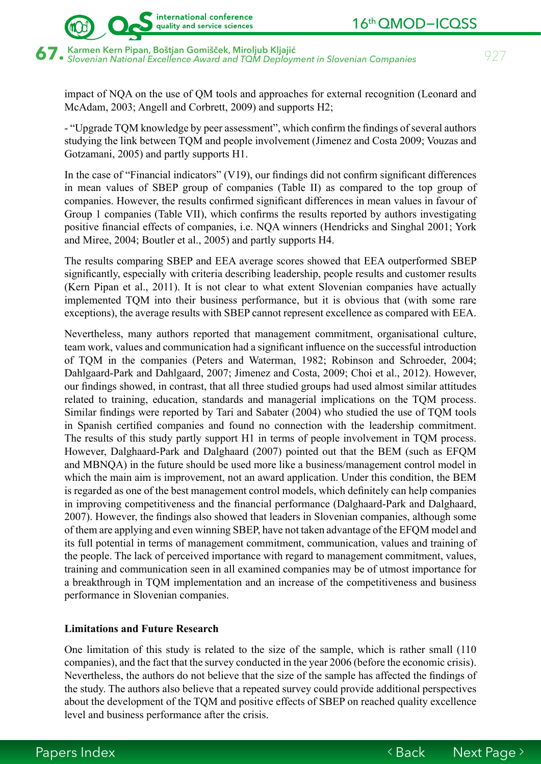67. Karmen Kern Pipan, Boštjan Gomišček, Miroljub Kljajić<br>67. slovenian National Excellence Award and TQM Deployment in Slovenian Companies *927* 

impact of NQA on the use of QM tools and approaches for external recognition (Leonard and McAdam, 2003; Angell and Corbrett, 2009) and supports H2;

- "Upgrade TQM knowledge by peer assessment", which confirm the findings of several authors studying the link between TQM and people involvement (Jimenez and Costa 2009; Vouzas and Gotzamani, 2005) and partly supports H1.

In the case of "Financial indicators" (V19), our findings did not confirm significant differences in mean values of SBEP group of companies (Table II) as compared to the top group of companies. However, the results confirmed significant differences in mean values in favour of Group 1 companies (Table VII), which confirms the results reported by authors investigating positive financial effects of companies, i.e. NQA winners (Hendricks and Singhal 2001; York and Miree, 2004; Boutler et al., 2005) and partly supports H4.

The results comparing SBEP and EEA average scores showed that EEA outperformed SBEP significantly, especially with criteria describing leadership, people results and customer results (Kern Pipan et al., 2011). It is not clear to what extent Slovenian companies have actually implemented TQM into their business performance, but it is obvious that (with some rare exceptions), the average results with SBEP cannot represent excellence as compared with EEA.

Nevertheless, many authors reported that management commitment, organisational culture, team work, values and communication had a significant influence on the successful introduction of TQM in the companies (Peters and Waterman, 1982; Robinson and Schroeder, 2004; Dahlgaard-Park and Dahlgaard, 2007; Jimenez and Costa, 2009; Choi et al., 2012). However, our findings showed, in contrast, that all three studied groups had used almost similar attitudes related to training, education, standards and managerial implications on the TQM process. Similar findings were reported by Tari and Sabater (2004) who studied the use of TQM tools in Spanish certified companies and found no connection with the leadership commitment. The results of this study partly support H1 in terms of people involvement in TQM process. However, Dalghaard-Park and Dalghaard (2007) pointed out that the BEM (such as EFQM and MBNQA) in the future should be used more like a business/management control model in which the main aim is improvement, not an award application. Under this condition, the BEM is regarded as one of the best management control models, which definitely can help companies in improving competitiveness and the financial performance (Dalghaard-Park and Dalghaard, 2007). However, the findings also showed that leaders in Slovenian companies, although some of them are applying and even winning SBEP, have not taken advantage of the EFQM model and its full potential in terms of management commitment, communication, values and training of the people. The lack of perceived importance with regard to management commitment, values, training and communication seen in all examined companies may be of utmost importance for a breakthrough in TQM implementation and an increase of the competitiveness and business performance in Slovenian companies.

### **Limitations and Future Research**

One limitation of this study is related to the size of the sample, which is rather small (110 companies), and the fact that the survey conducted in the year 2006 (before the economic crisis). Nevertheless, the authors do not believe that the size of the sample has affected the findings of the study. The authors also believe that a repeated survey could provide additional perspectives about the development of the TQM and positive effects of SBEP on reached quality excellence level and business performance after the crisis.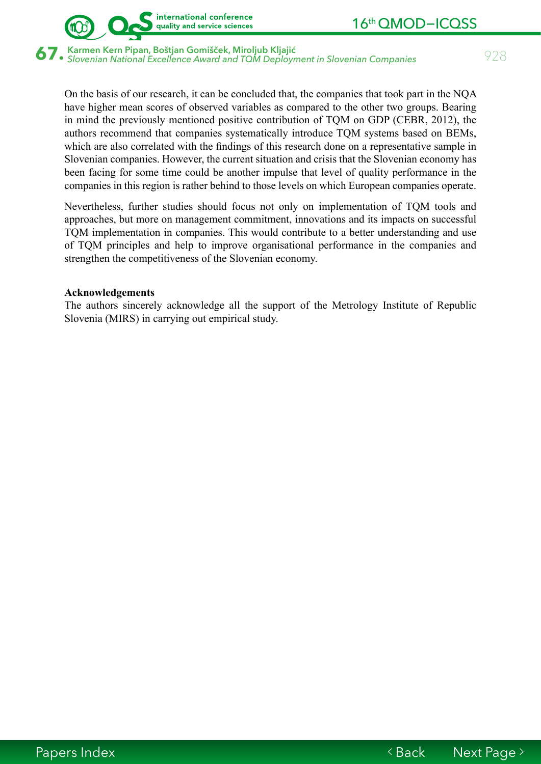

 $\bf 67.$  Karmen Kern Pipan, Boštjan Gomišček, Miroljub Kljajić<br>Saman Karmen National Excellence Award and TQM Deployment in Slovenian Companies (Saman Schopen State)

On the basis of our research, it can be concluded that, the companies that took part in the NQA have higher mean scores of observed variables as compared to the other two groups. Bearing in mind the previously mentioned positive contribution of TQM on GDP (CEBR, 2012), the authors recommend that companies systematically introduce TQM systems based on BEMs, which are also correlated with the findings of this research done on a representative sample in Slovenian companies. However, the current situation and crisis that the Slovenian economy has been facing for some time could be another impulse that level of quality performance in the companies in this region is rather behind to those levels on which European companies operate.

Nevertheless, further studies should focus not only on implementation of TQM tools and approaches, but more on management commitment, innovations and its impacts on successful TQM implementation in companies. This would contribute to a better understanding and use of TQM principles and help to improve organisational performance in the companies and strengthen the competitiveness of the Slovenian economy.

### **Acknowledgements**

The authors sincerely acknowledge all the support of the Metrology Institute of Republic Slovenia (MIRS) in carrying out empirical study.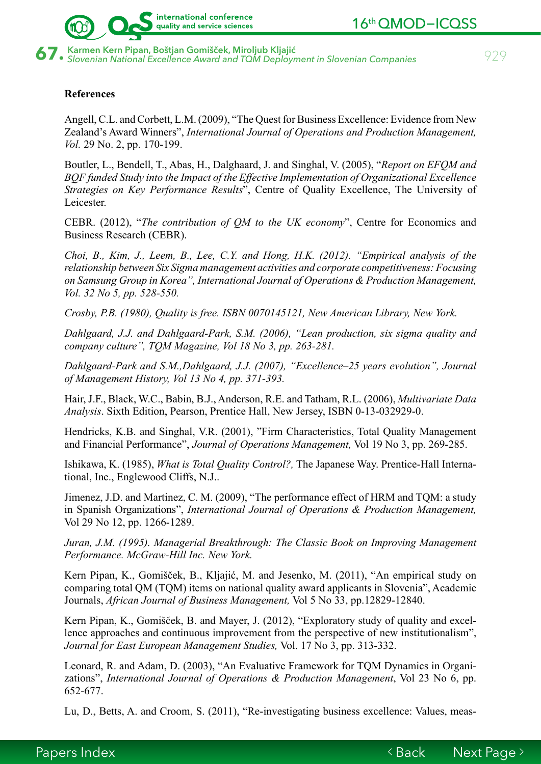



### **References**

Angell, C.L. and Corbett, L.M. (2009), "The Quest for Business Excellence: Evidence from New Zealand's Award Winners", *International Journal of Operations and Production Management, Vol.* 29 No. 2, pp. 170-199.

Boutler, L., Bendell, T., Abas, H., Dalghaard, J. and Singhal, V. (2005), "*Report on EFQM and BQF funded Study into the Impact of the Effective Implementation of Organizational Excellence Strategies on Key Performance Results*", Centre of Quality Excellence, The University of Leicester.

CEBR. (2012), "*The contribution of QM to the UK economy*", Centre for Economics and Business Research (CEBR).

*Choi, B., Kim, J., Leem, B., Lee, C.Y. and Hong, H.K. (2012). "Empirical analysis of the relationship between Six Sigma management activities and corporate competitiveness: Focusing on Samsung Group in Korea", International Journal of Operations & Production Management, Vol. 32 No 5, pp. 528-550.*

*Crosby, P.B. (1980), Quality is free. ISBN 0070145121, New American Library, New York.*

*Dahlgaard, J.J. and Dahlgaard-Park, S.M. (2006), "Lean production, six sigma quality and company culture", TQM Magazine, Vol 18 No 3, pp. 263-281.*

*Dahlgaard-Park and S.M.,Dahlgaard, J.J. (2007), "Excellence–25 years evolution", Journal of Management History, Vol 13 No 4, pp. 371-393.*

Hair, J.F., Black, W.C., Babin, B.J., Anderson, R.E. and Tatham, R.L. (2006), *Multivariate Data Analysis*. Sixth Edition, Pearson, Prentice Hall, New Jersey, ISBN 0-13-032929-0.

Hendricks, K.B. and Singhal, V.R. (2001), "Firm Characteristics, Total Quality Management and Financial Performance", *Journal of Operations Management,* Vol 19 No 3, pp. 269-285.

Ishikawa, K. (1985), *What is Total Quality Control?,* The Japanese Way. Prentice-Hall International, Inc., Englewood Cliffs, N.J..

Jimenez, J.D. and Martinez, C. M. (2009), "The performance effect of HRM and TQM: a study in Spanish Organizations", *International Journal of Operations & Production Management,*  Vol 29 No 12, pp. 1266-1289.

*Juran, J.M. (1995). Managerial Breakthrough: The Classic Book on Improving Management Performance. McGraw-Hill Inc. New York.*

Kern Pipan, K., Gomišček, B., Kljajić, M. and Jesenko, M. (2011), "An empirical study on comparing total QM (TQM) items on national quality award applicants in Slovenia", Academic Journals, *African Journal of Business Management,* Vol 5 No 33, pp.12829-12840.

Kern Pipan, K., Gomišček, B. and Mayer, J. (2012), "Exploratory study of quality and excellence approaches and continuous improvement from the perspective of new institutionalism", *Journal for East European Management Studies,* Vol. 17 No 3, pp. 313-332.

Leonard, R. and Adam, D. (2003), "An Evaluative Framework for TQM Dynamics in Organizations", *International Journal of Operations & Production Management*, Vol 23 No 6, pp. 652-677.

Lu, D., Betts, A. and Croom, S. (2011), "Re-investigating business excellence: Values, meas-